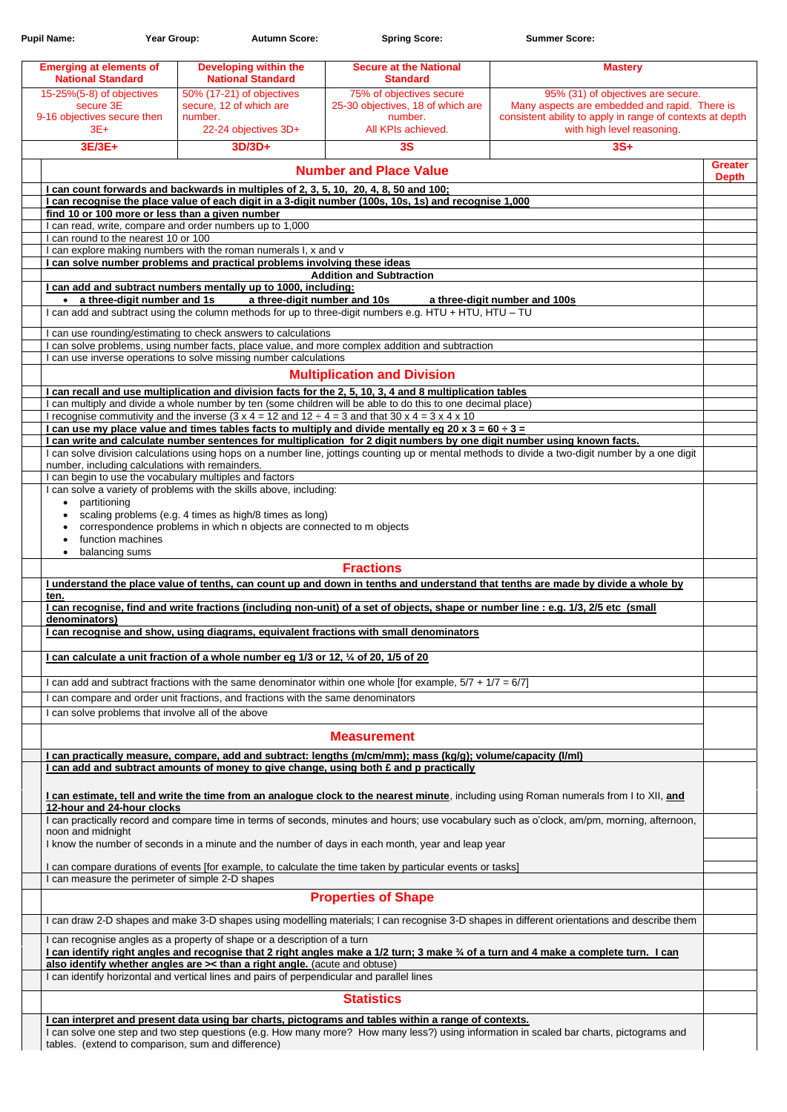| <b>Pupil Name:</b>                                                             |                               | Year Group: | <b>Autumn Score:</b>                                                         | <b>Spring Score:</b>                                                                                                                                                                                                                  | <b>Summer Score:</b>                                                                                                                                                           |                                |
|--------------------------------------------------------------------------------|-------------------------------|-------------|------------------------------------------------------------------------------|---------------------------------------------------------------------------------------------------------------------------------------------------------------------------------------------------------------------------------------|--------------------------------------------------------------------------------------------------------------------------------------------------------------------------------|--------------------------------|
| <b>Emerging at elements of</b><br><b>National Standard</b>                     |                               |             | <b>Developing within the</b><br><b>National Standard</b>                     | <b>Secure at the National</b><br><b>Standard</b>                                                                                                                                                                                      | <b>Mastery</b>                                                                                                                                                                 |                                |
| 15-25%(5-8) of objectives<br>secure 3E<br>9-16 objectives secure then<br>$3E+$ |                               | number.     | 50% (17-21) of objectives<br>secure, 12 of which are<br>22-24 objectives 3D+ | 75% of objectives secure<br>25-30 objectives, 18 of which are<br>number.<br>All KPIs achieved.                                                                                                                                        | 95% (31) of objectives are secure.<br>Many aspects are embedded and rapid. There is<br>consistent ability to apply in range of contexts at depth<br>with high level reasoning. |                                |
| 3E/3E+                                                                         |                               |             | $3D/3D+$                                                                     | 3S                                                                                                                                                                                                                                    | $3S+$                                                                                                                                                                          |                                |
|                                                                                |                               |             |                                                                              | <b>Number and Place Value</b>                                                                                                                                                                                                         |                                                                                                                                                                                | <b>Greater</b><br><b>Depth</b> |
|                                                                                |                               |             |                                                                              | I can count forwards and backwards in multiples of 2, 3, 5, 10, 20, 4, 8, 50 and 100;                                                                                                                                                 |                                                                                                                                                                                |                                |
|                                                                                |                               |             |                                                                              | I can recognise the place value of each digit in a 3-digit number (100s, 10s, 1s) and recognise 1,000                                                                                                                                 |                                                                                                                                                                                |                                |
| find 10 or 100 more or less than a given number                                |                               |             | I can read, write, compare and order numbers up to 1,000                     |                                                                                                                                                                                                                                       |                                                                                                                                                                                |                                |
| I can round to the nearest 10 or 100                                           |                               |             |                                                                              |                                                                                                                                                                                                                                       |                                                                                                                                                                                |                                |
|                                                                                |                               |             | I can explore making numbers with the roman numerals I, x and v              |                                                                                                                                                                                                                                       |                                                                                                                                                                                |                                |
|                                                                                |                               |             | I can solve number problems and practical problems involving these ideas     | <b>Addition and Subtraction</b>                                                                                                                                                                                                       |                                                                                                                                                                                |                                |
|                                                                                |                               |             | I can add and subtract numbers mentally up to 1000, including:               |                                                                                                                                                                                                                                       |                                                                                                                                                                                |                                |
|                                                                                | • a three-digit number and 1s |             | a three-digit number and 10s                                                 |                                                                                                                                                                                                                                       | a three-digit number and 100s                                                                                                                                                  |                                |
|                                                                                |                               |             |                                                                              | I can add and subtract using the column methods for up to three-digit numbers e.g. HTU + HTU, HTU - TU                                                                                                                                |                                                                                                                                                                                |                                |
|                                                                                |                               |             | I can use rounding/estimating to check answers to calculations               |                                                                                                                                                                                                                                       |                                                                                                                                                                                |                                |
|                                                                                |                               |             |                                                                              | I can solve problems, using number facts, place value, and more complex addition and subtraction                                                                                                                                      |                                                                                                                                                                                |                                |
|                                                                                |                               |             | I can use inverse operations to solve missing number calculations            |                                                                                                                                                                                                                                       |                                                                                                                                                                                |                                |
|                                                                                |                               |             |                                                                              | <b>Multiplication and Division</b>                                                                                                                                                                                                    |                                                                                                                                                                                |                                |
|                                                                                |                               |             |                                                                              | I can recall and use multiplication and division facts for the 2, 5, 10, 3, 4 and 8 multiplication tables                                                                                                                             |                                                                                                                                                                                |                                |
|                                                                                |                               |             |                                                                              | I can multiply and divide a whole number by ten (some children will be able to do this to one decimal place)                                                                                                                          |                                                                                                                                                                                |                                |
|                                                                                |                               |             |                                                                              | I recognise commutivity and the inverse (3 x 4 = 12 and 12 $\div$ 4 = 3 and that 30 x 4 = 3 x 4 x 10                                                                                                                                  |                                                                                                                                                                                |                                |
|                                                                                |                               |             |                                                                              | I can use my place value and times tables facts to multiply and divide mentally eg 20 x 3 = 60 $\div$ 3 =<br>I can write and calculate number sentences for multiplication for 2 digit numbers by one digit number using known facts. |                                                                                                                                                                                |                                |
|                                                                                |                               |             |                                                                              |                                                                                                                                                                                                                                       | I can solve division calculations using hops on a number line, jottings counting up or mental methods to divide a two-digit number by a one digit                              |                                |
| number, including calculations with remainders.                                |                               |             |                                                                              |                                                                                                                                                                                                                                       |                                                                                                                                                                                |                                |
| I can begin to use the vocabulary multiples and factors                        |                               |             |                                                                              |                                                                                                                                                                                                                                       |                                                                                                                                                                                |                                |
|                                                                                |                               |             | I can solve a variety of problems with the skills above, including:          |                                                                                                                                                                                                                                       |                                                                                                                                                                                |                                |
| partitioning                                                                   |                               |             | scaling problems (e.g. 4 times as high/8 times as long)                      |                                                                                                                                                                                                                                       |                                                                                                                                                                                |                                |
|                                                                                |                               |             | correspondence problems in which n objects are connected to m objects        |                                                                                                                                                                                                                                       |                                                                                                                                                                                |                                |
|                                                                                | function machines             |             |                                                                              |                                                                                                                                                                                                                                       |                                                                                                                                                                                |                                |
| balancing sums                                                                 |                               |             |                                                                              |                                                                                                                                                                                                                                       |                                                                                                                                                                                |                                |
|                                                                                |                               |             |                                                                              | <b>Fractions</b>                                                                                                                                                                                                                      |                                                                                                                                                                                |                                |
|                                                                                |                               |             |                                                                              |                                                                                                                                                                                                                                       | I understand the place value of tenths, can count up and down in tenths and understand that tenths are made by divide a whole by                                               |                                |
| ten.                                                                           |                               |             |                                                                              |                                                                                                                                                                                                                                       |                                                                                                                                                                                |                                |
| denominators)                                                                  |                               |             |                                                                              | I can recognise, find and write fractions (including non-unit) of a set of objects, shape or number line : e.g. 1/3, 2/5 etc (small                                                                                                   |                                                                                                                                                                                |                                |
|                                                                                |                               |             |                                                                              | I can recognise and show, using diagrams, equivalent fractions with small denominators                                                                                                                                                |                                                                                                                                                                                |                                |
|                                                                                |                               |             |                                                                              |                                                                                                                                                                                                                                       |                                                                                                                                                                                |                                |
|                                                                                |                               |             |                                                                              | I can calculate a unit fraction of a whole number eg 1/3 or 12, 1/4 of 20, 1/5 of 20                                                                                                                                                  |                                                                                                                                                                                |                                |
|                                                                                |                               |             |                                                                              | I can add and subtract fractions with the same denominator within one whole [for example, $5/7 + 1/7 = 6/7$ ]                                                                                                                         |                                                                                                                                                                                |                                |
|                                                                                |                               |             |                                                                              | I can compare and order unit fractions, and fractions with the same denominators                                                                                                                                                      |                                                                                                                                                                                |                                |
| I can solve problems that involve all of the above                             |                               |             |                                                                              |                                                                                                                                                                                                                                       |                                                                                                                                                                                |                                |
|                                                                                |                               |             |                                                                              |                                                                                                                                                                                                                                       |                                                                                                                                                                                |                                |
|                                                                                |                               |             |                                                                              | <b>Measurement</b>                                                                                                                                                                                                                    |                                                                                                                                                                                |                                |
|                                                                                |                               |             |                                                                              | I can practically measure, compare, add and subtract: lengths (m/cm/mm); mass (kg/g); volume/capacity (I/ml)<br>I can add and subtract amounts of money to give change, using both $\epsilon$ and p practically                       |                                                                                                                                                                                |                                |
|                                                                                |                               |             |                                                                              |                                                                                                                                                                                                                                       |                                                                                                                                                                                |                                |
|                                                                                |                               |             |                                                                              |                                                                                                                                                                                                                                       | I can estimate, tell and write the time from an analogue clock to the nearest minute, including using Roman numerals from I to XII, and                                        |                                |
| 12-hour and 24-hour clocks                                                     |                               |             |                                                                              |                                                                                                                                                                                                                                       |                                                                                                                                                                                |                                |
|                                                                                |                               |             |                                                                              |                                                                                                                                                                                                                                       | I can practically record and compare time in terms of seconds, minutes and hours; use vocabulary such as o'clock, am/pm, morning, afternoon,                                   |                                |
| noon and midnight                                                              |                               |             |                                                                              |                                                                                                                                                                                                                                       |                                                                                                                                                                                |                                |

| noon and midnight                                                                                                                                                                             |  |
|-----------------------------------------------------------------------------------------------------------------------------------------------------------------------------------------------|--|
| I know the number of seconds in a minute and the number of days in each month, year and leap year                                                                                             |  |
| I can compare durations of events [for example, to calculate the time taken by particular events or tasks]                                                                                    |  |
| I can measure the perimeter of simple 2-D shapes                                                                                                                                              |  |
| <b>Properties of Shape</b>                                                                                                                                                                    |  |
| I can draw 2-D shapes and make 3-D shapes using modelling materials; I can recognise 3-D shapes in different orientations and describe them                                                   |  |
| I can recognise angles as a property of shape or a description of a turn                                                                                                                      |  |
| I can identify right angles and recognise that 2 right angles make a 1/2 turn; 3 make 3⁄4 of a turn and 4 make a complete turn. I can                                                         |  |
| also identify whether angles are >< than a right angle. (acute and obtuse)                                                                                                                    |  |
| I can identify horizontal and vertical lines and pairs of perpendicular and parallel lines                                                                                                    |  |
| <b>Statistics</b>                                                                                                                                                                             |  |
| I can interpret and present data using bar charts, pictograms and tables within a range of contexts.                                                                                          |  |
| I can solve one step and two step questions (e.g. How many more? How many less?) using information in scaled bar charts, pictograms and<br>tables. (extend to comparison, sum and difference) |  |
|                                                                                                                                                                                               |  |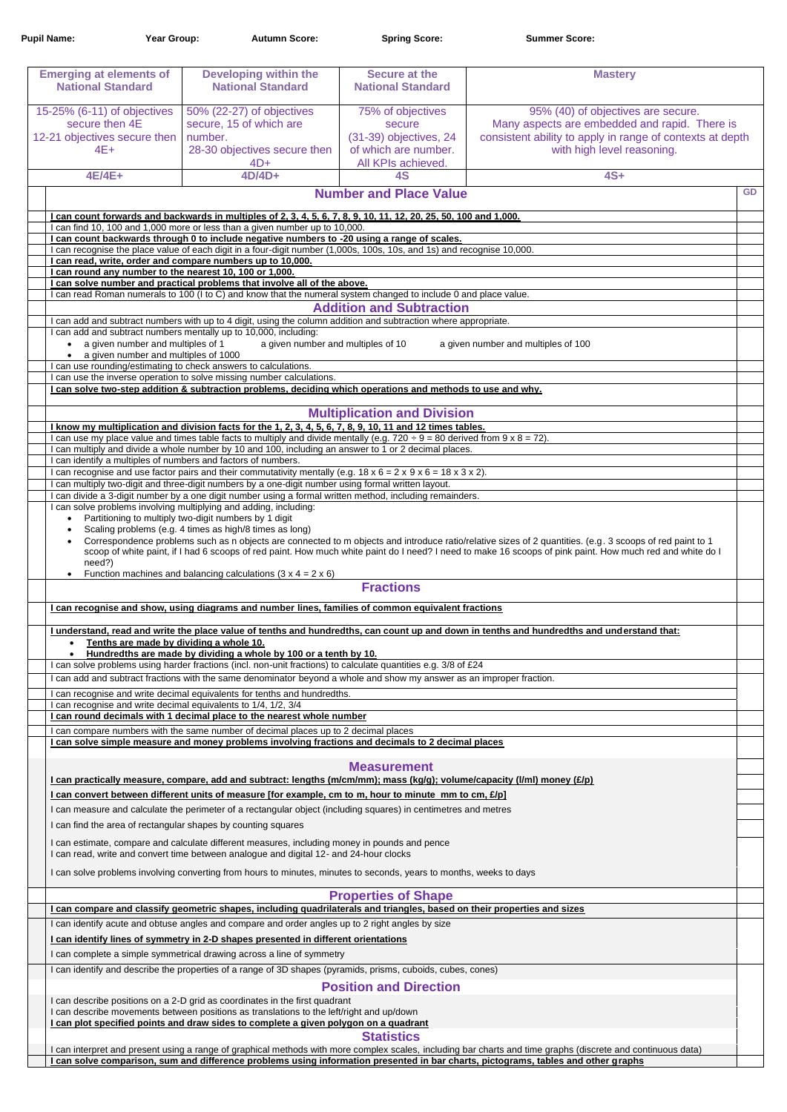| <b>Pupil Name:</b>                                                                                                       | Year Group:                          | <b>Autumn Score:</b>                                                                                                                                                                                                                                                                                       | <b>Spring Score:</b>                                                                                | <b>Summer Score:</b>                                                                                                                                                                                                                                                                                                   |  |  |  |
|--------------------------------------------------------------------------------------------------------------------------|--------------------------------------|------------------------------------------------------------------------------------------------------------------------------------------------------------------------------------------------------------------------------------------------------------------------------------------------------------|-----------------------------------------------------------------------------------------------------|------------------------------------------------------------------------------------------------------------------------------------------------------------------------------------------------------------------------------------------------------------------------------------------------------------------------|--|--|--|
| <b>Emerging at elements of</b><br><b>National Standard</b>                                                               |                                      | <b>Developing within the</b><br><b>National Standard</b>                                                                                                                                                                                                                                                   | <b>Secure at the</b><br><b>National Standard</b>                                                    | <b>Mastery</b>                                                                                                                                                                                                                                                                                                         |  |  |  |
| 15-25% (6-11) of objectives<br>secure then 4E<br>12-21 objectives secure then<br>$4E+$                                   |                                      | 50% (22-27) of objectives<br>secure, 15 of which are<br>number.<br>28-30 objectives secure then<br>$4D+$                                                                                                                                                                                                   | 75% of objectives<br>secure<br>(31-39) objectives, 24<br>of which are number.<br>All KPIs achieved. | 95% (40) of objectives are secure.<br>Many aspects are embedded and rapid. There is<br>consistent ability to apply in range of contexts at depth<br>with high level reasoning.                                                                                                                                         |  |  |  |
| $4E/4E+$                                                                                                                 |                                      | $4D/4D+$                                                                                                                                                                                                                                                                                                   | 4S                                                                                                  | $4S+$                                                                                                                                                                                                                                                                                                                  |  |  |  |
|                                                                                                                          |                                      |                                                                                                                                                                                                                                                                                                            | <b>Number and Place Value</b>                                                                       | GD                                                                                                                                                                                                                                                                                                                     |  |  |  |
|                                                                                                                          |                                      | I can count forwards and backwards in multiples of 2, 3, 4, 5, 6, 7, 8, 9, 10, 11, 12, 20, 25, 50, 100 and 1,000.<br>I can find 10, 100 and 1,000 more or less than a given number up to 10,000.<br>I can count backwards through 0 to include negative numbers to -20 using a range of scales.            |                                                                                                     |                                                                                                                                                                                                                                                                                                                        |  |  |  |
|                                                                                                                          |                                      |                                                                                                                                                                                                                                                                                                            |                                                                                                     |                                                                                                                                                                                                                                                                                                                        |  |  |  |
|                                                                                                                          |                                      |                                                                                                                                                                                                                                                                                                            |                                                                                                     |                                                                                                                                                                                                                                                                                                                        |  |  |  |
|                                                                                                                          |                                      | I can recognise the place value of each digit in a four-digit number (1,000s, 100s, 10s, and 1s) and recognise 10,000.<br>I can read, write, order and compare numbers up to 10,000.                                                                                                                       |                                                                                                     |                                                                                                                                                                                                                                                                                                                        |  |  |  |
|                                                                                                                          |                                      | I can round any number to the nearest 10, 100 or 1,000.                                                                                                                                                                                                                                                    |                                                                                                     |                                                                                                                                                                                                                                                                                                                        |  |  |  |
|                                                                                                                          |                                      | I can solve number and practical problems that involve all of the above.                                                                                                                                                                                                                                   |                                                                                                     |                                                                                                                                                                                                                                                                                                                        |  |  |  |
|                                                                                                                          |                                      | I can read Roman numerals to 100 (I to C) and know that the numeral system changed to include 0 and place value.                                                                                                                                                                                           |                                                                                                     |                                                                                                                                                                                                                                                                                                                        |  |  |  |
|                                                                                                                          |                                      | I can add and subtract numbers with up to 4 digit, using the column addition and subtraction where appropriate.                                                                                                                                                                                            | <b>Addition and Subtraction</b>                                                                     |                                                                                                                                                                                                                                                                                                                        |  |  |  |
|                                                                                                                          |                                      | I can add and subtract numbers mentally up to 10,000, including:                                                                                                                                                                                                                                           |                                                                                                     |                                                                                                                                                                                                                                                                                                                        |  |  |  |
|                                                                                                                          | a given number and multiples of 1    | a given number and multiples of 10                                                                                                                                                                                                                                                                         |                                                                                                     | a given number and multiples of 100                                                                                                                                                                                                                                                                                    |  |  |  |
|                                                                                                                          | a given number and multiples of 1000 |                                                                                                                                                                                                                                                                                                            |                                                                                                     |                                                                                                                                                                                                                                                                                                                        |  |  |  |
|                                                                                                                          |                                      | I can use rounding/estimating to check answers to calculations.<br>I can use the inverse operation to solve missing number calculations.                                                                                                                                                                   |                                                                                                     |                                                                                                                                                                                                                                                                                                                        |  |  |  |
|                                                                                                                          |                                      | I can solve two-step addition & subtraction problems, deciding which operations and methods to use and why.                                                                                                                                                                                                |                                                                                                     |                                                                                                                                                                                                                                                                                                                        |  |  |  |
|                                                                                                                          |                                      |                                                                                                                                                                                                                                                                                                            | <b>Multiplication and Division</b>                                                                  |                                                                                                                                                                                                                                                                                                                        |  |  |  |
|                                                                                                                          |                                      | I know my multiplication and division facts for the 1, 2, 3, 4, 5, 6, 7, 8, 9, 10, 11 and 12 times tables.                                                                                                                                                                                                 |                                                                                                     |                                                                                                                                                                                                                                                                                                                        |  |  |  |
|                                                                                                                          |                                      | I can use my place value and times table facts to multiply and divide mentally (e.g. 720 $\div$ 9 = 80 derived from 9 x 8 = 72).<br>I can multiply and divide a whole number by 10 and 100, including an answer to 1 or 2 decimal places.<br>I can identify a multiples of numbers and factors of numbers. |                                                                                                     |                                                                                                                                                                                                                                                                                                                        |  |  |  |
|                                                                                                                          |                                      |                                                                                                                                                                                                                                                                                                            |                                                                                                     |                                                                                                                                                                                                                                                                                                                        |  |  |  |
|                                                                                                                          |                                      | I can recognise and use factor pairs and their commutativity mentally (e.g. $18 \times 6 = 2 \times 9 \times 6 = 18 \times 3 \times 2$ ).                                                                                                                                                                  |                                                                                                     |                                                                                                                                                                                                                                                                                                                        |  |  |  |
|                                                                                                                          |                                      | I can multiply two-digit and three-digit numbers by a one-digit number using formal written layout.                                                                                                                                                                                                        |                                                                                                     |                                                                                                                                                                                                                                                                                                                        |  |  |  |
|                                                                                                                          |                                      | I can divide a 3-digit number by a one digit number using a formal written method, including remainders.<br>I can solve problems involving multiplying and adding, including:                                                                                                                              |                                                                                                     |                                                                                                                                                                                                                                                                                                                        |  |  |  |
|                                                                                                                          |                                      | Partitioning to multiply two-digit numbers by 1 digit                                                                                                                                                                                                                                                      |                                                                                                     |                                                                                                                                                                                                                                                                                                                        |  |  |  |
|                                                                                                                          |                                      | Scaling problems (e.g. 4 times as high/8 times as long)                                                                                                                                                                                                                                                    |                                                                                                     |                                                                                                                                                                                                                                                                                                                        |  |  |  |
| need?)                                                                                                                   |                                      |                                                                                                                                                                                                                                                                                                            |                                                                                                     | Correspondence problems such as n objects are connected to m objects and introduce ratio/relative sizes of 2 quantities. (e.g. 3 scoops of red paint to 1<br>scoop of white paint, if I had 6 scoops of red paint. How much white paint do I need? I need to make 16 scoops of pink paint. How much red and white do I |  |  |  |
| $\bullet$                                                                                                                |                                      | Function machines and balancing calculations $(3 \times 4 = 2 \times 6)$                                                                                                                                                                                                                                   | <b>Fractions</b>                                                                                    |                                                                                                                                                                                                                                                                                                                        |  |  |  |
|                                                                                                                          |                                      |                                                                                                                                                                                                                                                                                                            |                                                                                                     |                                                                                                                                                                                                                                                                                                                        |  |  |  |
|                                                                                                                          |                                      | I can recognise and show, using diagrams and number lines, families of common equivalent fractions                                                                                                                                                                                                         |                                                                                                     |                                                                                                                                                                                                                                                                                                                        |  |  |  |
| $\bullet$                                                                                                                |                                      | Tenths are made by dividing a whole 10.<br>Hundredths are made by dividing a whole by 100 or a tenth by 10.                                                                                                                                                                                                |                                                                                                     | I understand, read and write the place value of tenths and hundredths, can count up and down in tenths and hundredths and understand that:                                                                                                                                                                             |  |  |  |
|                                                                                                                          |                                      | I can solve problems using harder fractions (incl. non-unit fractions) to calculate quantities e.g. 3/8 of £24                                                                                                                                                                                             |                                                                                                     |                                                                                                                                                                                                                                                                                                                        |  |  |  |
|                                                                                                                          |                                      | I can add and subtract fractions with the same denominator beyond a whole and show my answer as an improper fraction.                                                                                                                                                                                      |                                                                                                     |                                                                                                                                                                                                                                                                                                                        |  |  |  |
|                                                                                                                          |                                      | I can recognise and write decimal equivalents for tenths and hundredths.                                                                                                                                                                                                                                   |                                                                                                     |                                                                                                                                                                                                                                                                                                                        |  |  |  |
|                                                                                                                          |                                      | I can recognise and write decimal equivalents to 1/4, 1/2, 3/4<br>I can round decimals with 1 decimal place to the nearest whole number                                                                                                                                                                    |                                                                                                     |                                                                                                                                                                                                                                                                                                                        |  |  |  |
|                                                                                                                          |                                      | I can compare numbers with the same number of decimal places up to 2 decimal places<br>I can solve simple measure and money problems involving fractions and decimals to 2 decimal places                                                                                                                  |                                                                                                     |                                                                                                                                                                                                                                                                                                                        |  |  |  |
|                                                                                                                          |                                      |                                                                                                                                                                                                                                                                                                            | <b>Measurement</b>                                                                                  |                                                                                                                                                                                                                                                                                                                        |  |  |  |
| I can practically measure, compare, add and subtract: lengths (m/cm/mm); mass (kg/g); volume/capacity (I/ml) money (£/p) |                                      |                                                                                                                                                                                                                                                                                                            |                                                                                                     |                                                                                                                                                                                                                                                                                                                        |  |  |  |
|                                                                                                                          |                                      | I can convert between different units of measure [for example, cm to m, hour to minute mm to cm, $E/p$ ]                                                                                                                                                                                                   |                                                                                                     |                                                                                                                                                                                                                                                                                                                        |  |  |  |
|                                                                                                                          |                                      | I can measure and calculate the perimeter of a rectangular object (including squares) in centimetres and metres                                                                                                                                                                                            |                                                                                                     |                                                                                                                                                                                                                                                                                                                        |  |  |  |
|                                                                                                                          |                                      | I can find the area of rectangular shapes by counting squares                                                                                                                                                                                                                                              |                                                                                                     |                                                                                                                                                                                                                                                                                                                        |  |  |  |

| I can estimate, compare and calculate different measures, including money in pounds and pence                                                                |
|--------------------------------------------------------------------------------------------------------------------------------------------------------------|
| I can read, write and convert time between analogue and digital 12- and 24-hour clocks                                                                       |
| I can solve problems involving converting from hours to minutes, minutes to seconds, years to months, weeks to days                                          |
| <b>Properties of Shape</b>                                                                                                                                   |
| can compare and classify geometric shapes, including quadrilaterals and triangles, based on their properties and sizes                                       |
| I can identify acute and obtuse angles and compare and order angles up to 2 right angles by size                                                             |
| I can identify lines of symmetry in 2-D shapes presented in different orientations                                                                           |
| I can complete a simple symmetrical drawing across a line of symmetry                                                                                        |
| I can identify and describe the properties of a range of 3D shapes (pyramids, prisms, cuboids, cubes, cones)                                                 |
| <b>Position and Direction</b>                                                                                                                                |
| I can describe positions on a 2-D grid as coordinates in the first quadrant                                                                                  |
| I can describe movements between positions as translations to the left/right and up/down                                                                     |
| I can plot specified points and draw sides to complete a given polygon on a quadrant                                                                         |
| <b>Statistics</b>                                                                                                                                            |
| I can interpret and present using a range of graphical methods with more complex scales, including bar charts and time graphs (discrete and continuous data) |
| l can solve comparison, sum and difference problems using information presented in bar charts, pictograms, tables and other graphs                           |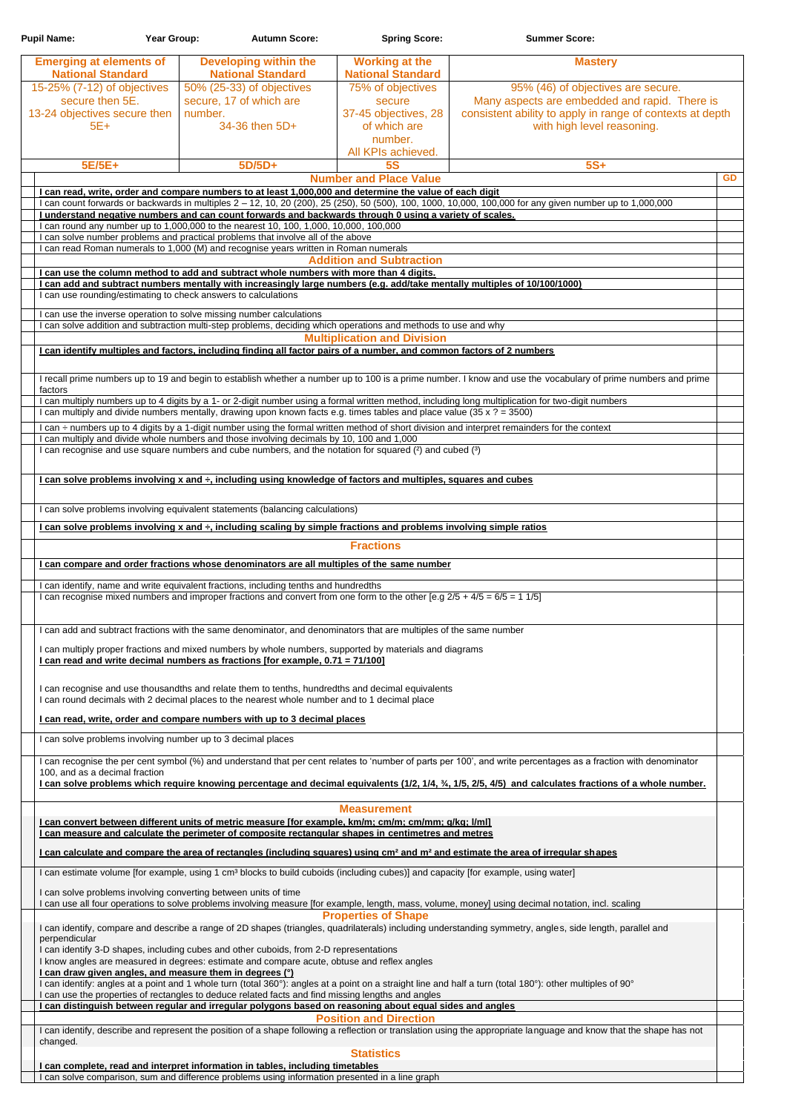| <b>Pupil Name:</b>                                                                                 | Year Group:                                                                                                                                                                                        | <b>Autumn Score:</b>                                                                                                                                                      | <b>Spring Score:</b>                                                                                                                                                                                        | <b>Summer Score:</b>                                                                                                                                                           |           |
|----------------------------------------------------------------------------------------------------|----------------------------------------------------------------------------------------------------------------------------------------------------------------------------------------------------|---------------------------------------------------------------------------------------------------------------------------------------------------------------------------|-------------------------------------------------------------------------------------------------------------------------------------------------------------------------------------------------------------|--------------------------------------------------------------------------------------------------------------------------------------------------------------------------------|-----------|
| <b>Emerging at elements of</b><br><b>National Standard</b>                                         |                                                                                                                                                                                                    | <b>Developing within the</b><br><b>National Standard</b>                                                                                                                  | <b>Working at the</b><br><b>National Standard</b>                                                                                                                                                           | <b>Mastery</b>                                                                                                                                                                 |           |
| 15-25% (7-12) of objectives<br>secure then 5E.<br>13-24 objectives secure then<br>number.<br>$5E+$ |                                                                                                                                                                                                    | 50% (25-33) of objectives<br>secure, 17 of which are<br>34-36 then 5D+                                                                                                    | 75% of objectives<br>secure<br>37-45 objectives, 28<br>of which are<br>number.                                                                                                                              | 95% (46) of objectives are secure.<br>Many aspects are embedded and rapid. There is<br>consistent ability to apply in range of contexts at depth<br>with high level reasoning. |           |
| 5E/5E+                                                                                             |                                                                                                                                                                                                    | $5D/5D+$                                                                                                                                                                  | All KPIs achieved.<br><b>5S</b>                                                                                                                                                                             | $5S+$                                                                                                                                                                          |           |
|                                                                                                    |                                                                                                                                                                                                    |                                                                                                                                                                           | <b>Number and Place Value</b>                                                                                                                                                                               |                                                                                                                                                                                | <b>GD</b> |
|                                                                                                    |                                                                                                                                                                                                    |                                                                                                                                                                           | I can read, write, order and compare numbers to at least 1,000,000 and determine the value of each digit                                                                                                    |                                                                                                                                                                                |           |
|                                                                                                    |                                                                                                                                                                                                    |                                                                                                                                                                           | I understand negative numbers and can count forwards and backwards through 0 using a variety of scales.                                                                                                     | I can count forwards or backwards in multiples 2 - 12, 10, 20 (200), 25 (250), 50 (500), 100, 1000, 10,000, 100,000 for any given number up to 1,000,000                       |           |
|                                                                                                    |                                                                                                                                                                                                    | I can round any number up to 1,000,000 to the nearest 10, 100, 1,000, 10,000, 100,000<br>I can solve number problems and practical problems that involve all of the above |                                                                                                                                                                                                             |                                                                                                                                                                                |           |
|                                                                                                    |                                                                                                                                                                                                    | I can read Roman numerals to 1,000 (M) and recognise years written in Roman numerals                                                                                      |                                                                                                                                                                                                             |                                                                                                                                                                                |           |
|                                                                                                    |                                                                                                                                                                                                    | I can use the column method to add and subtract whole numbers with more than 4 digits.                                                                                    | <b>Addition and Subtraction</b>                                                                                                                                                                             |                                                                                                                                                                                |           |
|                                                                                                    | I can use rounding/estimating to check answers to calculations                                                                                                                                     |                                                                                                                                                                           |                                                                                                                                                                                                             | I can add and subtract numbers mentally with increasingly large numbers (e.g. add/take mentally multiples of 10/100/1000)                                                      |           |
|                                                                                                    | I can use the inverse operation to solve missing number calculations                                                                                                                               |                                                                                                                                                                           |                                                                                                                                                                                                             |                                                                                                                                                                                |           |
|                                                                                                    |                                                                                                                                                                                                    |                                                                                                                                                                           | I can solve addition and subtraction multi-step problems, deciding which operations and methods to use and why<br><b>Multiplication and Division</b>                                                        |                                                                                                                                                                                |           |
|                                                                                                    |                                                                                                                                                                                                    |                                                                                                                                                                           | I can identify multiples and factors, including finding all factor pairs of a number, and common factors of 2 numbers                                                                                       |                                                                                                                                                                                |           |
| factors                                                                                            |                                                                                                                                                                                                    |                                                                                                                                                                           |                                                                                                                                                                                                             | I recall prime numbers up to 19 and begin to establish whether a number up to 100 is a prime number. I know and use the vocabulary of prime numbers and prime                  |           |
|                                                                                                    |                                                                                                                                                                                                    |                                                                                                                                                                           | I can multiply and divide numbers mentally, drawing upon known facts e.g. times tables and place value (35 x ? = 3500)                                                                                      | I can multiply numbers up to 4 digits by a 1- or 2-digit number using a formal written method, including long multiplication for two-digit numbers                             |           |
|                                                                                                    |                                                                                                                                                                                                    |                                                                                                                                                                           |                                                                                                                                                                                                             | I can ÷ numbers up to 4 digits by a 1-digit number using the formal written method of short division and interpret remainders for the context                                  |           |
|                                                                                                    |                                                                                                                                                                                                    | I can multiply and divide whole numbers and those involving decimals by 10, 100 and 1,000                                                                                 | I can recognise and use square numbers and cube numbers, and the notation for squared (2) and cubed (3)                                                                                                     |                                                                                                                                                                                |           |
|                                                                                                    |                                                                                                                                                                                                    |                                                                                                                                                                           | I can solve problems involving x and ÷, including using knowledge of factors and multiples, squares and cubes                                                                                               |                                                                                                                                                                                |           |
|                                                                                                    |                                                                                                                                                                                                    | I can solve problems involving equivalent statements (balancing calculations)                                                                                             |                                                                                                                                                                                                             |                                                                                                                                                                                |           |
|                                                                                                    |                                                                                                                                                                                                    |                                                                                                                                                                           | I can solve problems involving x and $\div$ , including scaling by simple fractions and problems involving simple ratios                                                                                    |                                                                                                                                                                                |           |
|                                                                                                    |                                                                                                                                                                                                    |                                                                                                                                                                           | <b>Fractions</b><br>I can compare and order fractions whose denominators are all multiples of the same number                                                                                               |                                                                                                                                                                                |           |
|                                                                                                    |                                                                                                                                                                                                    |                                                                                                                                                                           |                                                                                                                                                                                                             |                                                                                                                                                                                |           |
|                                                                                                    |                                                                                                                                                                                                    | I can identify, name and write equivalent fractions, including tenths and hundredths                                                                                      | I can recognise mixed numbers and improper fractions and convert from one form to the other [e.g $2/5 + 4/5 = 6/5 = 11/5$ ]                                                                                 |                                                                                                                                                                                |           |
|                                                                                                    |                                                                                                                                                                                                    |                                                                                                                                                                           | I can add and subtract fractions with the same denominator, and denominators that are multiples of the same number                                                                                          |                                                                                                                                                                                |           |
|                                                                                                    |                                                                                                                                                                                                    | I can read and write decimal numbers as fractions [for example, 0.71 = 71/100]                                                                                            | I can multiply proper fractions and mixed numbers by whole numbers, supported by materials and diagrams                                                                                                     |                                                                                                                                                                                |           |
|                                                                                                    | I can recognise and use thousandths and relate them to tenths, hundredths and decimal equivalents<br>I can round decimals with 2 decimal places to the nearest whole number and to 1 decimal place |                                                                                                                                                                           |                                                                                                                                                                                                             |                                                                                                                                                                                |           |
|                                                                                                    |                                                                                                                                                                                                    |                                                                                                                                                                           |                                                                                                                                                                                                             |                                                                                                                                                                                |           |
|                                                                                                    |                                                                                                                                                                                                    | I can read, write, order and compare numbers with up to 3 decimal places                                                                                                  |                                                                                                                                                                                                             |                                                                                                                                                                                |           |
|                                                                                                    | I can solve problems involving number up to 3 decimal places                                                                                                                                       |                                                                                                                                                                           |                                                                                                                                                                                                             |                                                                                                                                                                                |           |
| 100, and as a decimal fraction                                                                     |                                                                                                                                                                                                    |                                                                                                                                                                           |                                                                                                                                                                                                             | I can recognise the per cent symbol (%) and understand that per cent relates to 'number of parts per 100', and write percentages as a fraction with denominator                |           |
|                                                                                                    |                                                                                                                                                                                                    |                                                                                                                                                                           |                                                                                                                                                                                                             | I can solve problems which require knowing percentage and decimal equivalents (1/2, 1/4, 3/4, 1/5, 2/5, 4/5) and calculates fractions of a whole number.                       |           |
|                                                                                                    |                                                                                                                                                                                                    |                                                                                                                                                                           | <b>Measurement</b>                                                                                                                                                                                          |                                                                                                                                                                                |           |
|                                                                                                    |                                                                                                                                                                                                    |                                                                                                                                                                           | I can convert between different units of metric measure [for example, km/m; cm/m; cm/mm; g/kg; l/ml]<br>I can measure and calculate the perimeter of composite rectangular shapes in centimetres and metres |                                                                                                                                                                                |           |

I can calculate and compare the area of rectangles (including squares) using cm<sup>2</sup> and m<sup>2</sup> and estimate the area of irregular shapes

I can estimate volume [for example, using 1 cm<sup>3</sup> blocks to build cuboids (including cubes)] and capacity [for example, using water]

I can identify, describe and represent the position of a shape following a reflection or translation using the appropriate language and know that the shape has not changed.

I can solve problems involving converting between units of time

I can use all four operations to solve problems involving measure [for example, length, mass, volume, money] using decimal notation, incl. scaling

## **Properties of Shape**

I can identify, compare and describe a range of 2D shapes (triangles, quadrilaterals) including understanding symmetry, angles, side length, parallel and perpendicular

I can identify 3-D shapes, including cubes and other cuboids, from 2-D representations

I know angles are measured in degrees: estimate and compare acute, obtuse and reflex angles

## **I can draw given angles, and measure them in degrees (°)**

I can identify: angles at a point and 1 whole turn (total 360°): angles at a point on a straight line and half a turn (total 180°): other multiples of 90°

I can use the properties of rectangles to deduce related facts and find missing lengths and angles

**I can distinguish between regular and irregular polygons based on reasoning about equal sides and angles**

**Position and Direction**

## **Statistics**

**I can complete, read and interpret information in tables, including timetables**

I can solve comparison, sum and difference problems using information presented in a line graph